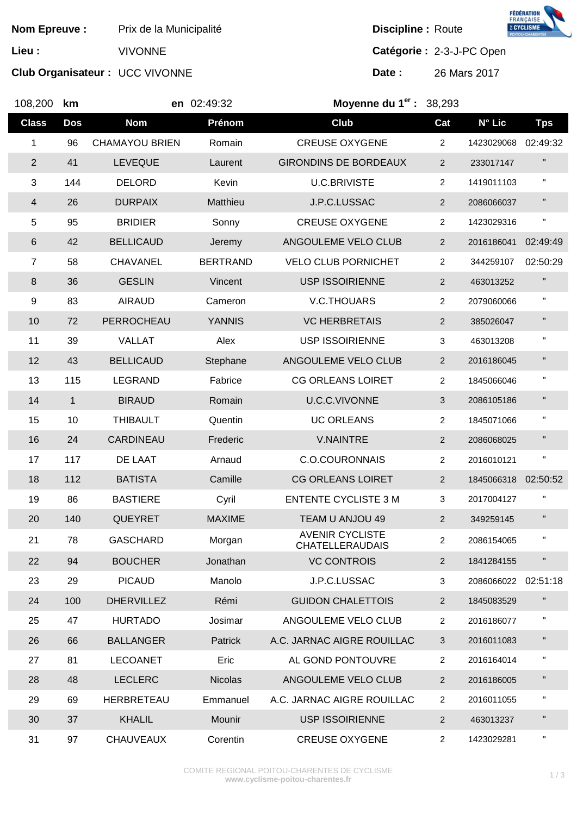**Nom Epreuve :** Prix de la Municipalité **Discipline Discipline :** Route

**Club Organisateur :** UCC VIVONNE **Date :** 26 Mars 2017



**FÉDÉRATION<br>FRANÇAISE<br>8 CYCLISME** 

**Lieu :** VIVONNE **Catégorie :** 2-3-J-PC Open

| 108,200        | km           |                       | en 02:49:32     | Moyenne du $1er$ : 38,293                        |                |            |                |
|----------------|--------------|-----------------------|-----------------|--------------------------------------------------|----------------|------------|----------------|
| <b>Class</b>   | <b>Dos</b>   | <b>Nom</b>            | Prénom          | Club                                             | Cat            | N° Lic     | <b>Tps</b>     |
| $\mathbf 1$    | 96           | <b>CHAMAYOU BRIEN</b> | Romain          | <b>CREUSE OXYGENE</b>                            | $\overline{c}$ | 1423029068 | 02:49:32       |
| $\overline{2}$ | 41           | <b>LEVEQUE</b>        | Laurent         | <b>GIRONDINS DE BORDEAUX</b>                     | $\overline{c}$ | 233017147  | $\blacksquare$ |
| $\mathfrak{S}$ | 144          | <b>DELORD</b>         | Kevin           | <b>U.C.BRIVISTE</b>                              | $\overline{a}$ | 1419011103 | $\blacksquare$ |
| $\overline{4}$ | 26           | <b>DURPAIX</b>        | Matthieu        | J.P.C.LUSSAC                                     | $\overline{a}$ | 2086066037 | П.             |
| 5              | 95           | <b>BRIDIER</b>        | Sonny           | <b>CREUSE OXYGENE</b>                            | $\overline{a}$ | 1423029316 | Ħ              |
| 6              | 42           | <b>BELLICAUD</b>      | Jeremy          | ANGOULEME VELO CLUB                              | $\overline{2}$ | 2016186041 | 02:49:49       |
| $\overline{7}$ | 58           | <b>CHAVANEL</b>       | <b>BERTRAND</b> | <b>VELO CLUB PORNICHET</b>                       | 2              | 344259107  | 02:50:29       |
| 8              | 36           | <b>GESLIN</b>         | Vincent         | <b>USP ISSOIRIENNE</b>                           | $\overline{2}$ | 463013252  |                |
| 9              | 83           | <b>AIRAUD</b>         | Cameron         | V.C.THOUARS                                      | 2              | 2079060066 | $\blacksquare$ |
| 10             | 72           | PERROCHEAU            | <b>YANNIS</b>   | <b>VC HERBRETAIS</b>                             | $\overline{2}$ | 385026047  | П.             |
| 11             | 39           | <b>VALLAT</b>         | Alex            | <b>USP ISSOIRIENNE</b>                           | 3              | 463013208  | н.             |
| 12             | 43           | <b>BELLICAUD</b>      | Stephane        | ANGOULEME VELO CLUB                              | $\overline{2}$ | 2016186045 | н.             |
| 13             | 115          | <b>LEGRAND</b>        | Fabrice         | <b>CG ORLEANS LOIRET</b>                         | $\overline{c}$ | 1845066046 |                |
| 14             | $\mathbf{1}$ | <b>BIRAUD</b>         | Romain          | U.C.C.VIVONNE                                    | 3              | 2086105186 | H.             |
| 15             | 10           | <b>THIBAULT</b>       | Quentin         | <b>UC ORLEANS</b>                                | 2              | 1845071066 | н.             |
| 16             | 24           | <b>CARDINEAU</b>      | Frederic        | <b>V.NAINTRE</b>                                 | $\overline{2}$ | 2086068025 | п              |
| 17             | 117          | DE LAAT               | Arnaud          | <b>C.O.COURONNAIS</b>                            | $\overline{a}$ | 2016010121 | н.             |
| 18             | 112          | <b>BATISTA</b>        | Camille         | <b>CG ORLEANS LOIRET</b>                         | $\overline{2}$ | 1845066318 | 02:50:52       |
| 19             | 86           | <b>BASTIERE</b>       | Cyril           | <b>ENTENTE CYCLISTE 3 M</b>                      | 3              | 2017004127 |                |
| 20             | 140          | <b>QUEYRET</b>        | <b>MAXIME</b>   | TEAM U ANJOU 49                                  | $\overline{2}$ | 349259145  | П.             |
| 21             | 78           | <b>GASCHARD</b>       | Morgan          | <b>AVENIR CYCLISTE</b><br><b>CHATELLERAUDAIS</b> | 2              | 2086154065 | н              |
| 22             | 94           | <b>BOUCHER</b>        | Jonathan        | <b>VC CONTROIS</b>                               | $\overline{2}$ | 1841284155 | Ħ              |
| 23             | 29           | <b>PICAUD</b>         | Manolo          | J.P.C.LUSSAC                                     | 3              | 2086066022 | 02:51:18       |
| 24             | 100          | <b>DHERVILLEZ</b>     | Rémi            | <b>GUIDON CHALETTOIS</b>                         | $\overline{2}$ | 1845083529 |                |
| 25             | 47           | <b>HURTADO</b>        | Josimar         | ANGOULEME VELO CLUB                              | 2              | 2016186077 | $\blacksquare$ |
| 26             | 66           | <b>BALLANGER</b>      | <b>Patrick</b>  | A.C. JARNAC AIGRE ROUILLAC                       | 3              | 2016011083 | Ш              |
| 27             | 81           | <b>LECOANET</b>       | Eric            | AL GOND PONTOUVRE                                | $\overline{a}$ | 2016164014 | $\blacksquare$ |
| 28             | 48           | <b>LECLERC</b>        | <b>Nicolas</b>  | ANGOULEME VELO CLUB                              | $\overline{2}$ | 2016186005 | н              |
| 29             | 69           | <b>HERBRETEAU</b>     | Emmanuel        | A.C. JARNAC AIGRE ROUILLAC                       | $\overline{2}$ | 2016011055 | п.             |
| 30             | 37           | <b>KHALIL</b>         | Mounir          | <b>USP ISSOIRIENNE</b>                           | $\overline{c}$ | 463013237  | П.             |
| 31             | 97           | <b>CHAUVEAUX</b>      | Corentin        | <b>CREUSE OXYGENE</b>                            | $\overline{2}$ | 1423029281 | И.             |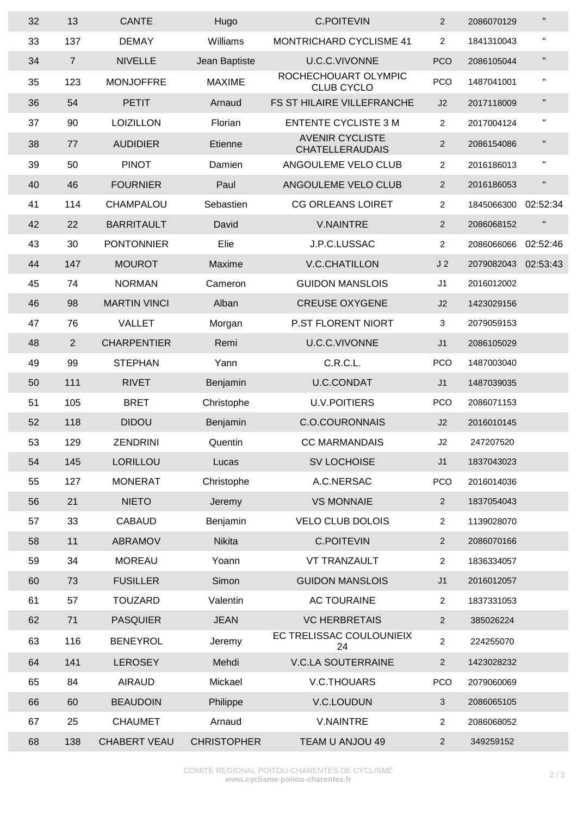| 32 | 13             | <b>CANTE</b>        | Hugo               | <b>C.POITEVIN</b>                                | $\overline{2}$ | 2086070129 | $\blacksquare$     |
|----|----------------|---------------------|--------------------|--------------------------------------------------|----------------|------------|--------------------|
| 33 | 137            | <b>DEMAY</b>        | Williams           | <b>MONTRICHARD CYCLISME 41</b>                   | $\overline{a}$ | 1841310043 | $\pmb{\mathsf{H}}$ |
| 34 | $\overline{7}$ | <b>NIVELLE</b>      | Jean Baptiste      | U.C.C.VIVONNE                                    | <b>PCO</b>     | 2086105044 | $\mathbf{H}$       |
| 35 | 123            | <b>MONJOFFRE</b>    | <b>MAXIME</b>      | ROCHECHOUART OLYMPIC<br><b>CLUB CYCLO</b>        | <b>PCO</b>     | 1487041001 | $\pmb{\mathsf{H}}$ |
| 36 | 54             | <b>PETIT</b>        | Arnaud             | FS ST HILAIRE VILLEFRANCHE                       | J2             | 2017118009 | $\blacksquare$     |
| 37 | 90             | <b>LOIZILLON</b>    | Florian            | <b>ENTENTE CYCLISTE 3 M</b>                      | $\overline{a}$ | 2017004124 | $\pmb{\mathsf{H}}$ |
| 38 | 77             | <b>AUDIDIER</b>     | Etienne            | <b>AVENIR CYCLISTE</b><br><b>CHATELLERAUDAIS</b> | $\overline{2}$ | 2086154086 | $\mathbf{H}$       |
| 39 | 50             | <b>PINOT</b>        | Damien             | ANGOULEME VELO CLUB                              | $\overline{a}$ | 2016186013 | π                  |
| 40 | 46             | <b>FOURNIER</b>     | Paul               | ANGOULEME VELO CLUB                              | $\overline{2}$ | 2016186053 | $\mathbf{H}$       |
| 41 | 114            | CHAMPALOU           | Sebastien          | <b>CG ORLEANS LOIRET</b>                         | $\overline{2}$ | 1845066300 | 02:52:34           |
| 42 | 22             | <b>BARRITAULT</b>   | David              | <b>V.NAINTRE</b>                                 | $\overline{a}$ | 2086068152 | $\blacksquare$     |
| 43 | 30             | <b>PONTONNIER</b>   | Elie               | J.P.C.LUSSAC                                     | $\overline{a}$ | 2086066066 | 02:52:46           |
| 44 | 147            | <b>MOUROT</b>       | Maxime             | <b>V.C.CHATILLON</b>                             | J <sub>2</sub> | 2079082043 | 02:53:43           |
| 45 | 74             | <b>NORMAN</b>       | Cameron            | <b>GUIDON MANSLOIS</b>                           | J <sub>1</sub> | 2016012002 |                    |
| 46 | 98             | <b>MARTIN VINCI</b> | Alban              | <b>CREUSE OXYGENE</b>                            | J2             | 1423029156 |                    |
| 47 | 76             | <b>VALLET</b>       | Morgan             | P.ST FLORENT NIORT                               | 3              | 2079059153 |                    |
| 48 | $\overline{2}$ | <b>CHARPENTIER</b>  | Remi               | U.C.C.VIVONNE                                    | J <sub>1</sub> | 2086105029 |                    |
| 49 | 99             | <b>STEPHAN</b>      | Yann               | C.R.C.L.                                         | <b>PCO</b>     | 1487003040 |                    |
| 50 | 111            | <b>RIVET</b>        | Benjamin           | <b>U.C.CONDAT</b>                                | J <sub>1</sub> | 1487039035 |                    |
| 51 | 105            | <b>BRET</b>         | Christophe         | <b>U.V.POITIERS</b>                              | <b>PCO</b>     | 2086071153 |                    |
| 52 | 118            | <b>DIDOU</b>        | Benjamin           | <b>C.O.COURONNAIS</b>                            | J2             | 2016010145 |                    |
| 53 | 129            | <b>ZENDRINI</b>     | Quentin            | <b>CC MARMANDAIS</b>                             | J2             | 247207520  |                    |
| 54 | 145            | LORILLOU            | Lucas              | SV LOCHOISE                                      | J1             | 1837043023 |                    |
| 55 | 127            | <b>MONERAT</b>      | Christophe         | A.C.NERSAC                                       | <b>PCO</b>     | 2016014036 |                    |
| 56 | 21             | <b>NIETO</b>        | Jeremy             | <b>VS MONNAIE</b>                                | $\overline{a}$ | 1837054043 |                    |
| 57 | 33             | <b>CABAUD</b>       | Benjamin           | <b>VELO CLUB DOLOIS</b>                          | $\overline{a}$ | 1139028070 |                    |
| 58 | 11             | ABRAMOV             | <b>Nikita</b>      | <b>C.POITEVIN</b>                                | $\overline{a}$ | 2086070166 |                    |
| 59 | 34             | <b>MOREAU</b>       | Yoann              | <b>VT TRANZAULT</b>                              | $\overline{a}$ | 1836334057 |                    |
| 60 | 73             | <b>FUSILLER</b>     | Simon              | <b>GUIDON MANSLOIS</b>                           | J <sub>1</sub> | 2016012057 |                    |
| 61 | 57             | <b>TOUZARD</b>      | Valentin           | <b>AC TOURAINE</b>                               | $\overline{a}$ | 1837331053 |                    |
| 62 | 71             | <b>PASQUIER</b>     | <b>JEAN</b>        | <b>VC HERBRETAIS</b>                             | $\overline{a}$ | 385026224  |                    |
| 63 | 116            | <b>BENEYROL</b>     | Jeremy             | EC TRELISSAC COULOUNIEIX<br>24                   | $\overline{a}$ | 224255070  |                    |
| 64 | 141            | <b>LEROSEY</b>      | Mehdi              | <b>V.C.LA SOUTERRAINE</b>                        | $\overline{a}$ | 1423028232 |                    |
| 65 | 84             | <b>AIRAUD</b>       | Mickael            | V.C.THOUARS                                      | <b>PCO</b>     | 2079060069 |                    |
| 66 | 60             | <b>BEAUDOIN</b>     | Philippe           | V.C.LOUDUN                                       | $\mathfrak{S}$ | 2086065105 |                    |
| 67 | 25             | <b>CHAUMET</b>      | Arnaud             | <b>V.NAINTRE</b>                                 | 2              | 2086068052 |                    |
| 68 | 138            | <b>CHABERT VEAU</b> | <b>CHRISTOPHER</b> | TEAM U ANJOU 49                                  | $\overline{2}$ | 349259152  |                    |